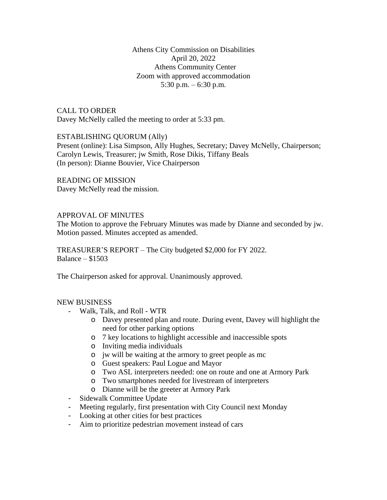Athens City Commission on Disabilities April 20, 2022 Athens Community Center Zoom with approved accommodation 5:30 p.m.  $-6:30$  p.m.

CALL TO ORDER Davey McNelly called the meeting to order at 5:33 pm.

### ESTABLISHING QUORUM (Ally)

Present (online): Lisa Simpson, Ally Hughes, Secretary; Davey McNelly, Chairperson; Carolyn Lewis, Treasurer; jw Smith, Rose Dikis, Tiffany Beals (In person): Dianne Bouvier, Vice Chairperson

READING OF MISSION Davey McNelly read the mission.

## APPROVAL OF MINUTES

The Motion to approve the February Minutes was made by Dianne and seconded by jw. Motion passed. Minutes accepted as amended.

TREASURER'S REPORT – The City budgeted \$2,000 for FY 2022. Balance – \$1503

The Chairperson asked for approval. Unanimously approved.

#### NEW BUSINESS

- Walk, Talk, and Roll WTR
	- o Davey presented plan and route. During event, Davey will highlight the need for other parking options
	- o 7 key locations to highlight accessible and inaccessible spots
	- o Inviting media individuals
	- o jw will be waiting at the armory to greet people as mc
	- o Guest speakers: Paul Logue and Mayor
	- o Two ASL interpreters needed: one on route and one at Armory Park
	- o Two smartphones needed for livestream of interpreters
	- o Dianne will be the greeter at Armory Park
- Sidewalk Committee Update
- Meeting regularly, first presentation with City Council next Monday
- Looking at other cities for best practices
- Aim to prioritize pedestrian movement instead of cars